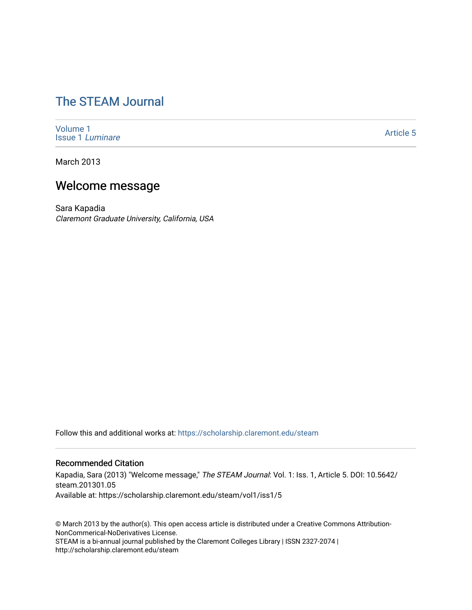# [The STEAM Journal](https://scholarship.claremont.edu/steam)

[Volume 1](https://scholarship.claremont.edu/steam/vol1) [Issue 1](https://scholarship.claremont.edu/steam/vol1/iss1) Luminare

[Article 5](https://scholarship.claremont.edu/steam/vol1/iss1/5) 

March 2013

## Welcome message

Sara Kapadia Claremont Graduate University, California, USA

Follow this and additional works at: [https://scholarship.claremont.edu/steam](https://scholarship.claremont.edu/steam?utm_source=scholarship.claremont.edu%2Fsteam%2Fvol1%2Fiss1%2F5&utm_medium=PDF&utm_campaign=PDFCoverPages) 

#### Recommended Citation

Kapadia, Sara (2013) "Welcome message," The STEAM Journal: Vol. 1: Iss. 1, Article 5. DOI: 10.5642/ steam.201301.05 Available at: https://scholarship.claremont.edu/steam/vol1/iss1/5

© March 2013 by the author(s). This open access article is distributed under a Creative Commons Attribution-NonCommerical-NoDerivatives License. STEAM is a bi-annual journal published by the Claremont Colleges Library | ISSN 2327-2074 | http://scholarship.claremont.edu/steam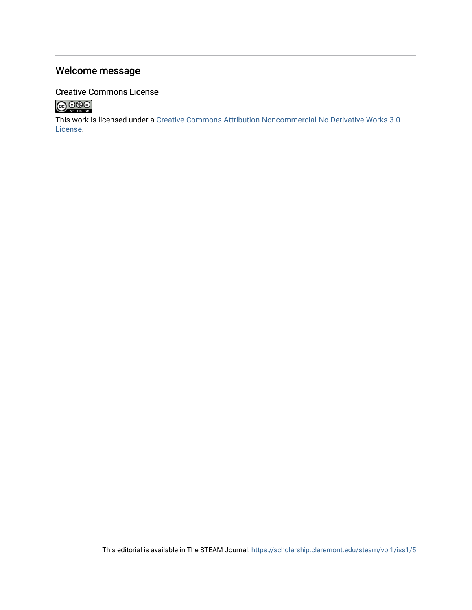## Welcome message

## Creative Commons License



This work is licensed under a [Creative Commons Attribution-Noncommercial-No Derivative Works 3.0](https://creativecommons.org/licenses/by-nc-nd/3.0/) [License](https://creativecommons.org/licenses/by-nc-nd/3.0/).